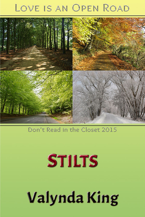# LOVE IS AN OPEN ROAD



## Don't Read in the Closet 2015

# **STILTS**

# **Valynda King**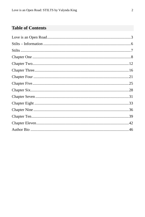### **Table of Contents**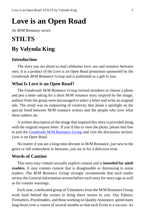# <span id="page-2-0"></span>**Love is an Open Road**

*An M/M Romance series*

## **STILTS**

### **By Valynda King**

### **Introduction**

The story you are about to read celebrates love, sex and romance between men. It is a product of the *Love is an Open Road* promotion sponsored by the *Goodreads M/M Romance Group* and is published as a gift to you.

### **What Is Love is an Open Road?**

The *Goodreads M/M Romance Group* invited members to choose a photo and pen a letter asking for a short M/M romance story inspired by the image; authors from the group were encouraged to select a letter and write an original tale. The result was an outpouring of creativity that shone a spotlight on the special bond between M/M romance writers and the people who love what these authors do.

A written description of the image that inspired this story is provided along with the original request letter. If you'd like to view the photo, please feel free to join the [Goodreads M/M Romance Group](http://www.goodreads.com/group/show/20149-m-m-romance) and visit the discussion section: *Love is an Open Road*.

No matter if you are a long-time devotee to M/M Romance, just new to the genre or fall somewhere in between, you are in for a delicious treat.

### **Words of Caution**

This story may contain sexually explicit content and is **intended for adult**  readers. It may contain content that is disagreeable or distressing to some readers. The *M/M Romance Group* strongly recommends that each reader review the General Information section before each story for story tags as well as for content warnings.

Each year, a dedicated group of Volunteers from the M/M Romance Group work hard behind the scenes to bring these stories to you. Our Editors, Formatters, Proofreaders, and those working on Quality Assurance, spend many long hours over a course of several months so that each Event is a success. As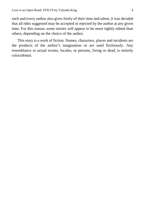each and every author also gives freely of their time and talent, it was decided that all edits suggested may be accepted or rejected by the author at any given time. For this reason, some stories will appear to be more tightly edited than others, depending on the choice of the author.

This story is a work of fiction. Names, characters, places and incidents are the products of the author's imagination or are used fictitiously. Any resemblance to actual events, locales, or persons, living or dead, is entirely coincidental.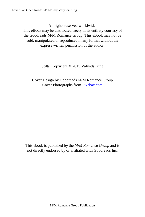All rights reserved worldwide.

This eBook may be distributed freely in its entirety courtesy of the Goodreads M/M Romance Group. This eBook may not be sold, manipulated or reproduced in any format without the express written permission of the author.

Stilts, Copyright © 2015 Valynda King

Cover Design by Goodreads M/M Romance Group Cover Photographs from [Pixabay.com](http://pixabay.com/en/)

This ebook is published by the *M/M Romance Group* and is not directly endorsed by or affiliated with Goodreads Inc.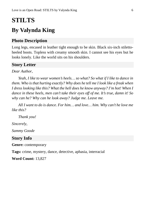# <span id="page-5-0"></span>**STILTS**

# **By Valynda King**

### **Photo Description**

Long legs, encased in leather tight enough to be skin. Black six-inch stilettoheeled boots. Topless with creamy smooth skin. I cannot see his eyes but he looks lonely. Like the world sits on his shoulders.

### **Story Letter**

#### *Dear Author,*

*Yeah, I like to wear women's heels… so what? So what if I like to dance in them. Who is that hurting exactly? Why does he tell me I look like a freak when I dress looking like this? What the hell does he know anyway? I'm hot! When I dance in these heels, men can't take their eyes off of me. It's true, damn it! So why can he? Why can he look away? Judge me. Leave me.*

*All I want to do is dance. For him… and love… him. Why can't he love me like this?*

*Thank you!*

*Sincerely,*

*Sammy Goode*

### **Story Info**

**Genre:** contemporary

**Tags:** crime, mystery, dance, detective, aphasia, interracial

**Word Count:** 13,827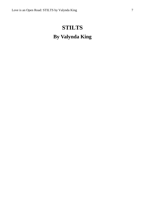# <span id="page-6-0"></span>**STILTS By Valynda King**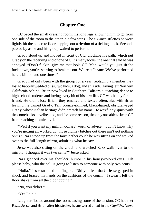### **Chapter One**

<span id="page-7-0"></span>CC paced the small dressing room, his long legs allowing him to go from one side of the room to the other in a few steps. The six-inch stilettos he wore lightly hit the concrete floor, tapping out a rhythm of a ticking clock. Seconds passed by as he and his group waited to perform.

Grady stood up and moved in front of CC, blocking his path, which put Grady on the receiving end of one of CC's many looks, the one that said he was annoyed. "Don't fuckin' give me that look, CC. Man, would you just sit the fuck down, you're starting to freak me out. We're at Inzane. We've performed here a billion and one times."

Grady had only been with the group for a year, replacing a member they lost to happily wedded bliss, two kids, a dog, and an Audi. Having left Northern California behind, Brian now lived in Southern California, teaching dance to high school students and loving every bit of his new life. CC was happy for his friend. He didn't lose Brian; they emailed and texted often. But with Brian leaving, he gained Grady. Tall, bronze-skinned, black-haired, obsidian-eyed Grady, whose Italian heritage didn't match his name. He was funny, quick with the comebacks, levelheaded, and for some reason, the only one able to keep CC from reaching atomic level.

"Well if you want my million dollars' worth of advice—I don't know why you're getting all worked up, those clumsy bitches out there ain't got nothing on us." Razz stood up from the faux leather couch he was sitting on and walked over to the full-length mirror, admiring what he saw.

Jesse was also sitting on the couch and watched Razz walk over to the mirror. "I thought it was two cents?" Jesse asked.

Razz glanced over his shoulder, humor in his honey-colored eyes. "Oh please baby, who the hell is going to listen to someone with only two cents."

"Holla." Jesse snapped his fingers. "Did you feel that?" Jesse gasped in shock and braced his hands on the cushions of the couch. "I swear I felt the floor shake from all the clodhopping."

"No, you didn't."

"Yes I did."

Laughter floated around the room, easing some of the tension. CC had met Razz, Jesse, and Brian after his stroke; he answered an ad in the *GayStirs News*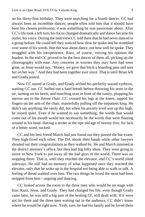on his thirty-first birthday. They were searching for a fourth dancer. CC had always been an incredible dancer; people often told him that it should have been his chosen profession; it was something he was passionate about. After CC's life took a left turn, his focus changed dramatically and dance became his outlet, his voice. During the interview CC told them that he had never danced in a group before. He could tell they noticed how slow he spoke and he stumbled over some of his words. But this was about dance, not how well he spoke. They struggled with his inexperience, Razz, of course, voicing his opinion the loudest. In the end CC proved to be the best dancer of them all, picking up the choreography with ease. Any concerns or worries they may have had were gone, as Jesse would say, "Honey, we gave that bitch a boarding pass and sent her on her way." And they had been together ever since. That is until Brian left and Grady joined.

Now CC stared at Grady, and Grady arched his perfectly waxed eyebrow, waiting CC out. CC huffed out a hard breath before throwing his arms in the air, turning on his heels, and marching over in front of the vanity, plopping his narrow ass in the throne chair. CC crossed his legs at the knees, tapped his fingers on the arm of the chair, masterfully pulling off the impatient king. He didn't say anything. He rarely did, but when his anxiety level was up this high, he stayed quiet. Even if he wanted to say something, the words that would come out of his mouth would not necessarily be the words that were floating around in his head. Having a stroke at the ripe old age of twenty-five, for lack of a better word, sucked.

CC and his best friend March had just found out they passed the bar exam. They high-fived each other. The DA shook their hands while other lawyers shouted out their congratulations as they walked by. He and March interned at the district attorney's office, but they had big lofty ideas. They were going to move to New York to put away all the bad guys of the world. There was no stopping them. That is, until they reached the elevator, and CC's world tilted sideways. He still had no memory of what happened once they reached the elevator, only that he woke up in the hospital not being able to walk or talk. A feeling of dread washed over him. The two things he loved the most had been stripped from him—arguing and dancing.

CC looked across the room to the three men who would be on stage with him: Razz, Jesse, and Grady. They had changed his life; even though Grady came later, he was still a big part of the healing CC still dealt with. If it were not for them and the three men waiting out in the audience, CC didn't know where he would be right now. Yeah, sure, he had his family and he loved them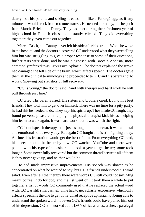dearly, but his parents and siblings treated him like a Fabergé egg, as if any minute he would crack from too much stress. He needed normalcy, and he got it from March, Brick, and Danny. They had met during their freshmen year of high school in English class and instantly clicked. They did everything together; they even came out together.

March, Brick, and Danny never left his side after his stroke. When he woke in the hospital and the doctors discovered CC understood what they were telling him but was struggling to give a proper response to some of their questions, further tests were done, and he was diagnosed with Broca's Aphasia, more commonly referred to as Expressive Aphasia. The doctors explained the stroke had damaged the left side of the brain, which affects speech. The doctors gave them all the clinical terminology and proceeded to tell CC and his parents not to worry. Spewing out statistics of full recovery.

"CC is young," the doctor said, "and with therapy and hard work he will pull through just fine."

CC cried. His parents cried. His sisters and brothers cried. But not his best friends. They told him to get over himself. There was no time for a pity party; he had shit he needed to do. They kept his spirits up. They made CC laugh; they found perverse pleasure in helping his physical therapist kick his ass helping him learn to walk again. It was hard work, but it was worth the fight.

CC found speech therapy to be just as tough if not more so. It was a mental and emotional battle every day. But again CC fought and is still fighting today. At times his frustration would get the best of him. From everything CC read, his speech should be better by now. CC watched YouTube and there were people with his type of aphasia, some took a year to get better; some took longer. Some never fully recovered but the common thread between all of them is they never gave up, and neither would he.

He had made impressive improvements. His speech was slower as he concentrated on what he wanted to say, but CC's friends understood his word salad. Even after all the therapy there were words CC still could not say. Mug meant coffee, Fido for dog, and the list went on. It took them a while to put together a list of words CC commonly used that he replaced the actual word with. CC was still smart as hell; if he had to get aphasia, expressive, which only affects speech, is the one to get. If he'd had receptive aphasia, not being able to understand the spoken word, not even CC's friends could have pulled him out of his depression. CC still worked at the DA's office as a researcher, a paralegal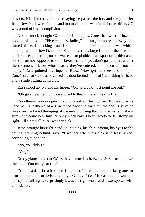of sorts. His diplomas, the letter saying he passed the bar, and the job offer from New York were framed and mounted on the wall in his home office. CC was proud of his accomplishments.

A loud knock brought CC out of his thoughts. Zane, the owner of Inzane, popped his head in. "Five minutes, ladies," he sang from the doorway. He turned his head, checking around behind him to make sure no one was within hearing range. "Now listen up." Zane moved his large frame further into the small space; good thing no one was claustrophobic. "I am sponsoring this dance off, so I am not supposed to show favorites, but if you don't go out there and let the commoners know whose castle they've entered; this queen will not be happy." Zane pointed his finger at Razz. "Now get out there and stomp." Zane's dramatic exit as he closed the door behind him had CC shaking his head and a smile pulling at his lips.

Razz stood up, waving his finger. "Oh he did *not* just point me out."

"Oh gurrl, yes he did." Jesse loved to throw fuel on Razz's fire.

Razz threw the door open in fabulous fashion, his right arm flying above his head, as his leather-clad ass switched back and forth out the door. His voice rose over the faded thumping of the music pulsing through the walls, making sure Zane could hear him. "Honey when have I never worked? I'll stomp all right. I'll stomp all over 'wonder dick.'"

Jesse brought his right hand up, holding his chin, casting his eyes to the ceiling, walking behind Razz. "I wonder where his dick is?" Jesse asked, pretending to ponder.

"No, you didn't."

"Yes, I did."

Grady glanced over at CC as they listened to Razz and Jesse cackle down the hall. "You ready for this?"

CC took a deep breath before rising out of the chair, took one last glance at himself in the mirror, before turning to Grady. "Yes." It was the first word he had spoken all night. Surprisingly it was the right word, and it was spoken with confidence.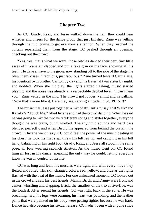#### **Chapter Two**

<span id="page-11-0"></span>As CC, Grady, Razz, and Jesse walked down the hall, they could hear whistles and cheers for the dance group that just finished. Zane was yelling through the mic, trying to get everyone's attention. When they reached the curtain separating them from the stage, CC peeked through an opening, checking out the crowd.

"Yes, yes, that's what we want, those bitches danced their pert, tiny little asses off." Zane air clapped and put a fake grin on his face, showing all his teeth. He gave a wave to the group now standing off to the side of the stage; he blew them kisses. "Fabulous, just fabulous." Zane turned toward Carmalatte, his identical twin brother Carlton by day and his fraternal twin sister by night, and nodded. When she hit play, the lights started flashing, music started playing, and the noise was already at a respectable decibel level. "I can't hear you," Zane yelled in the mic. The crowd got louder, yelling and catcalling. "Now that's more like it. Here they are, serving attitude, DISCIPLINE!"

The music that Jesse put together, a mix of RuPaul's "Sissy That Walk" and Kazaky's "Touch Me," filled Inzane and had the crowd dancing. When he said he was going to mix the two very different songs and styles together, everyone thought he was crazy, but it worked. The rhythmic sounds and hard bass blended perfectly, and when Discipline appeared from behind the curtain, the crowd in Inzane went crazy. CC could feel the power of the music beating in his chest; he took his first step, threw his left leg up, and caught it in his left hand, balancing on his right foot. Grady, Razz, and Jesse all stood in the same pose, all four wearing six-inch stilettos. As the music went on, CC found himself lost in his dance, speaking the only way he could, letting everyone know he was in control of his life.

CC was long and lean, his muscles were tight, and with every move they flexed and rolled. His skin changed colors: red, yellow, and blue as the lights flashed with the beat of the music. For one unfocused moment, CC looked out in the crowd and saw his best friends. March, Brick, and Danny were front and center, whistling and clapping. Brick, the smallest of the trio at five-five, was the loudest. After seeing his friends, CC was right back in the zone. He was breathing hard, his legs were burning, his heart was pounding, and the leather pants that were painted on his body were getting tighter because he was hard. Dance had also become his sexual release. CC hadn't been with anyone since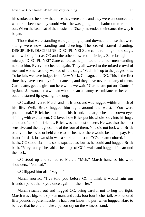his stroke, and he knew that once they were done and they were announced the winners—because they would win—he was going to the bathroom to rub one out. When the last beat of the music hit, Discipline ended their dance the way it began.

Those that were standing were jumping up and down, and those that were sitting were now standing and cheering. The crowd started chanting: DISCIPLINE, DISCIPLINE, DISCIPLINE! Zane came running on the stage, well, walking fast as CC and the others lowered their legs. Zane brought his mic up. "DISCIPLINE!" Zane called, as he pointed to the four men standing next to him. Everyone cheered again. They all waved to the mixed crowd of men and women as they walked off the stage. "Well, it's up to the judges now. To be fair, we have judges from New York, Chicago, and DC. This is the first time they have seen any of the dancers, and they have never met any of them. Carmalatte, get the girls out here while we wait." Carmalatte put on "Control" by Janet Jackson, and a woman who bore an uncanny resemblance to her came out and started lip-syncing her song.

CC walked over to March and his friends and was hugged within an inch of his life. Well, Brick hugged him tight around the waist. "You were phenomenal." Brick beamed up at his friend, his large chestnut-brown eyes shining with excitement. CC loved how Brick put his whole body into his hugs, and out of all of his friends, Brick was the most sincere. He was also the most sensitive and the toughest one of the four of them. You did not fuck with Brick or anyone he loved or held close to his heart, or there would be hell to pay. His beautiful dark-brown skin was a stark contrast to CC's cream colored. In his heels, CC stood six-nine, so he squatted as low as he could and hugged Brick back. "Very funny," he said as he let go of CC's waist and hugged him around the neck.

CC stood up and turned to March. "Meh." March hunched his wide shoulders. "Not bad."

CC flipped him off. "Fog in."

March snorted. "I've told you before CC, I think it would ruin our friendship, but thank you once again for the offer."

March reached out and hugged CC, being careful not to hug too tight. March was a big, soft-spoken man, and at six foot four inches tall, two hundred fifty pounds of pure muscle, he had been known to purr when hugged. Hard to believe that he could make a person cry on the witness stand.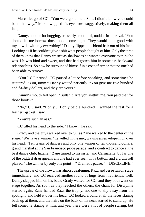March let go of CC. "You were good man. Shit, I didn't know you could bend that way." March wiggled his eyebrows suggestively, making them all laugh.

Danny, not one for hugging, or overly emotional, nodded in approval. "You should let me borrow those boots some night. They would look good with my… well with my everything!" Danny flipped his blond hair out of his face. Looking as if he couldn't give a shit what people thought of him. Only the three of them knew that Danny wasn't as shallow as he wanted everyone to think he was. He was kind and sweet, and that had gotten him in some ass-backward relationships. So now he surrounded himself in a coat of armor that no one had been able to remove.

"You." CC paused. CC paused a lot before speaking, and sometimes he stuttered. "You, umm." Danny waited patiently. "You give me five hundred and f-f-fifty dollars, and they are yours."

Danny's mouth fell open. "Bullshit. Are you shittin' me, you paid that for those boots?"

"No," CC said. "I only… I only paid a hundred. I wanted the rest for a leather j-jacket I saw."

"You're such an ass."

CC tilted his head to the side. "I know," he said.

Grady and the guys walked over to CC as Zane walked to the center of the stage. "We have a winner," he yelled in the mic, waving an envelope high over his head. "Ten teams of dancers and only one winner of ten thousand dollars, grand marshal at the San Francisco pride parade, and a contract to dance at the best dance club, Inzane." Zane turned to his sister, and Carmalatte, by far one of the biggest drag queens anyone had ever seen, hit a button, and a drum roll played. "The winner by only one point—" Dramatic pause. "—DISCIPLINE!"

The uproar of the crowd was almost deafening. Razz and Jesse ran on stage immediately, and CC received another round of hugs from his friends; well, Danny slapped him on his back. Grady waited for CC, and they both went on stage together. As soon as they reached the others, the chant for Discipline started again. Zane handed Razz the trophy, not one to shy away from the spotlight, and held it over his head. CC looked around at all the faces staring back up at them, and the hairs on the back of his neck started to stand up. He felt someone staring at him, and yes, there were a lot of people staring, but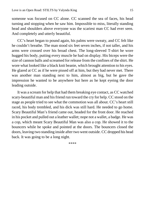someone was focused on CC alone. CC scanned the sea of faces, his head turning and stopping when he saw him. Impossible to miss, literally standing head and shoulders above everyone was the scariest man CC had ever seen. And completely and utterly beautiful.

CC's heart began to pound again, his palms were sweaty, and CC felt like he couldn't breathe. The man stood six feet seven inches, if not taller, and his arms were crossed over his broad chest. The long-sleeved T-shirt he wore hugged his body, putting every muscle he had on display. His biceps were the size of cannon balls and screamed for release from the confines of the shirt. He wore what looked like a black knit beanie, which brought attention to his eyes. He glared at CC as if he were pissed off at him, but they had never met. There was another man standing next to him, almost as big, but he gave the impression he wanted to be anywhere but here as he kept eyeing the door leading outside.

It was a scream for help that had them breaking eye contact, as CC watched scary-beautiful man and his friend run toward the cry for help. CC stood on the stage as people tried to see what the commotion was all about. CC's heart still raced, his body trembled, and his dick was still hard. He needed to go home. Scary Beautiful Man's friend came out, headed for the front door. He reached in his pocket and pulled out a leather wallet; nope not a wallet, a badge. He was a cop, which meant Scary Beautiful Man was also a cop. He showed it to the bouncers while he spoke and pointed at the doors. The bouncers closed the doors, leaving two standing inside after two went outside. CC dropped his head back. It was going to be a long night.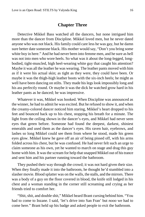#### **Chapter Three**

<span id="page-15-0"></span>Detective Mikkel Bass watched all the dancers, but none intrigued him more than the dancer from Discipline. Mikkel loved men, but he never dated anyone who was not black. His family could care less he was gay, but he damn sure better date someone black. His mother would say, "Don't you bring some white boy in here." And he had never been into femme men, and he sure as hell was not into men who wore heels. So what was it about the long-legged, longbodied, tight-muscled, high heel-wearing white guy that caught his attention? Maybe it was all the leather he was wearing. The leather pants moved with him as if it were his actual skin; as tight as they were, they could have been. Or maybe it was the thigh-high leather boots with the six-inch heels; he might as well have been dancing on stilts. They made his legs look impossibly long and his ass perfectly round. Or maybe it was the dick he watched grow hard in his leather pants as he danced; he was impressive.

Whatever it was, Mikkel was hooked. When Discipline was announced as the winner, he had to admit he was excited. But he refused to show it, and when the creamy-colored dancer noticed him staring, Mikkel's heart dropped to his feet and bounced back up to his chest, stopping his breath for a minute. The light from the ceiling shown in the dancer's eyes, and Mikkel had never seen eyes that green before. Someone had found the deepest, darkest, shiniest emeralds and used them as the dancer's eyes. His raven hair, eyebrows, and lashes so long Mikkel could see them from where he stood, made his green eyes glow. Mikkel knew he gave off an air of being pissed off, with his arms folded across his chest, but he was confused. He had never felt such an urge to claim someone as his own, yet he wanted to march on stage and drag this guy home with him. It was the scream for help that snapped Mikkel out of his trance and sent him and his partner running toward the bathroom.

They pushed their way through the crowd; it was not hard given their size. When they finally made it into the bathroom, he thought he'd stumbled into a slasher movie. Blood splatter was on the walls, the stalls, and the mirrors. There was a body of a guy on the floor covered in blood, the knife still lodged in his chest and a woman standing in the corner still screaming and crying as her friends tried to comfort her.

"Shit, shit, and double shit," Mikkel heard Brant cursing behind him. "You had to come to Inzane. I said, 'let's drive into San Fran' but *nooo* we had to come here." Brant held up his badge and asked people to exit the bathroom.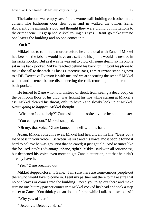The bathroom was empty save for the women still holding each other in the corner. The bathroom door flew open and in walked the owner, Zane. Apparently he misunderstood and thought they were giving out invitations to the crime scene. His gasp had Mikkel rolling his eyes. "Brant, go make sure no one leaves the building and no one comes in."

"On it."

Mikkel had to call in the murder before he could deal with Zane. If Mikkel had been on the job, he would have on a suit and his phone would be nestled in his jacket pocket. But as it was he was out to blow off some steam, so his phone sat in his back pocket. Mikkel reached behind his back, pulling out his phone to make the call to dispatch. "This is Detective Bass, I am at Inzane standing next to a DB. Detective Everson is with me, and we are securing the scene." Mikkel waited and listened before disconnecting the call, returning his phone to his back pocket.

He turned to Zane who now, instead of shock from seeing a dead body on the bathroom floor of his club, was licking his lips while staring at Mikkel's ass. Mikkel cleared his throat, only to have Zane slowly look up at Mikkel. *Never going to happen,* Mikkel thought.

"What can I do to help?" Zane asked in the softest voice he could muster.

"You can get out," Mikkel snapped.

"Oh my, that voice." Zane fanned himself with his hand.

Again, Mikkel rolled his eyes. Mikkel had heard it all his life. "Bass got a lot of bass in your voice." Between his size and his voice, most people found it hard to believe he was gay. Not that he cared; it just got old. And at times like this he used it to his advantage. "Zane, right?" Mikkel said with all seriousness, but deepened his voice even more to get Zane's attention, not that he didn't already have it.

"Yes," Zane breathed out.

Mikkel stepped closer to Zane. "I am sure there are some curious people out there who would love to come in. I sent my partner out there to make sure that no one leaves or comes into the building. I need you to go out there and make sure no one but my partner comes in." Mikkel cocked his head and took a step closer to Zane. "You think you can do that for me while I talk to these ladies?"

"Why yes, officer."

"Detective, Detective Bass."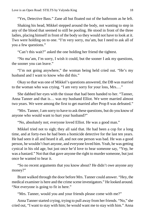"Yes, Detective Bass." Zane all but floated out of the bathroom as he left.

Shaking his head, Mikkel stepped around the body, not wanting to step in any of the blood that seemed to still be pooling. He stood in front of the three ladies, placing himself in front of the body so they would not have to look at it. Two were holding on to one. "I'm very sorry, ma'am, but I need to ask all of you a few questions."

"Can't this wait?" asked the one holding her friend the tightest.

"No ma'am, I'm sorry, I wish it could, but the sooner I ask my questions, the sooner you can leave."

"I'm not going anywhere," the woman being held cried out. "He's my husband and I want to know who did this."

Okay so that was one of Mikkel's questions answered, the DB was married to the woman who was crying. "I am very sorry for your loss, Mrs.…"

She dabbed her eyes with the tissue that had been handed to her. "Tanner, Anna Tanner and that is… was my husband Elliot. We were married almost two years. We were among the first to get married after Prop 8 was defeated."

"Mrs. Tanner, I am sorry to have to ask these questions, but do you know of anyone who would want to hurt your husband?"

"No, absolutely not; everyone loved Elliot. He was a good man."

Mikkel tried not to sigh; they all said that. He had been a cop for a long time, and at forty-two he had been a homicide detective for the last ten years. He had seen it all and heard it all, and not one person was bad. He was a good person, he wouldn't hurt anyone, and everyone loved him. Yeah, he was getting cynical in his old age, but just once he'd love to hear someone say, "Yep, he was a bastard." Not that that gave anyone the right to murder someone, but just once he wanted to hear it.

"So no recent arguments that you know about? He didn't owe anyone any money?"

Brant walked through the door before Mrs. Tanner could answer. "Hey, the medical examiner is here and the crime scene investigators." He looked around. "Not everyone is going to fit in here."

"Mrs. Tanner, would you and your friends please come with me?"

Anna Tanner started crying, trying to pull away from her friends. "No," she cried out, "I want to stay with him; he would want me to stay with him." Anna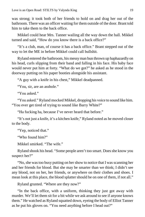was strong; it took both of her friends to hold on and drag her out of the bathroom. There was an officer waiting for them outside of the door. Brant told him to take them to the back office.

Mikkel could hear Mrs. Tanner wailing all the way down the hall. Mikkel turned and said, "How do you know there is a back office?"

"It's a club, man, of course it has a back office." Brant stepped out of the way to let the ME in before Mikkel could call bullshit.

Ryland entered the bathroom, his messy man bun thrown up haphazardly on his head, curls slipping from their band and falling in his face. His baby face would never put him at forty. "What do we got?" he asked as he stood in the doorway putting on his paper booties alongside his assistant.

"A guy with a knife in his chest," Mikkel deadpanned.

"You, sir, are an asshole."

"You asked."

"You asked." Ryland mocked Mikkel, dropping his voice to sound like him. "You ever get tired of trying to sound like Barry White?"

"Ha fucking ha, because I've never heard that before."

"It's not just a knife, it's a kitchen knife," Ryland noted as he moved closer to the body.

"Yep, noticed that."

"Who found him?"

Mikkel smirked. "The wife."

Ryland shook his head. "Some people aren't too smart. Does she know you suspect her?"

"No, she was too busy putting on her show to notice that I was scanning her and her friends for blood. But she may be smarter than we think; I didn't see any blood, not on her, her friends, or anywhere on their clothes and shoes. I mean look at this place, the blood splatter should be on one of them, if not all."

Ryland grunted. "Where are they now?"

"In the back office, with a uniform, thinking they just got away with murder. We'll let them sit for a bit while we ask around to see if anyone knows them." He watched as Ryland squatted down, eyeing the body of Elliot Tanner as he put his gloves on. "You need anything before I head out?"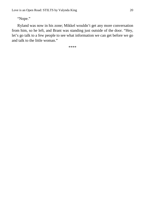"Nope."

Ryland was now in his zone; Mikkel wouldn't get any more conversation from him, so he left, and Brant was standing just outside of the door. "Hey, let's go talk to a few people to see what information we can get before we go and talk to the little woman."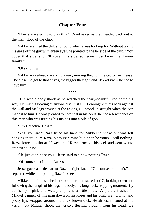### **Chapter Four**

<span id="page-20-0"></span>"How are we going to play this?" Brant asked as they headed back out to the main floor of the club.

Mikkel scanned the club and found who he was looking for. Without taking his gaze off the guy with green eyes, he pointed to the far side of the club. "You cover that side, and I'll cover this side, someone must know the Tanner family."

"Okay, but wh…"

Mikkel was already walking away, moving through the crowd with ease. The closer he got to those eyes, the bigger they got, and Mikkel knew he had to have him.

\*\*\*\*

CC's whole body shook as he watched the scary-beautiful cop come his way. He wasn't looking at anyone else, just CC. Leaning with his back against the wall and his legs crossed at the ankles, CC stood up straight when the cop made it to him. He was pleased to note that in his heels, he had a few inches on this man who was turning his insides into a pile of goo.

"I'm Detective Bass."

"Yes, you are." Razz lifted his hand for Mikkel to shake but was left hanging there. "I'm Razz, pleasure's mine but it can be yours." Still nothing. Razz cleared his throat. "Okay then." Razz turned on his heels and went over to sit next to Jesse.

"He just didn't see you," Jesse said to a now pouting Razz.

"Of course he didn't," Razz said.

Jesse gave a little pat to Razz's right knee. "Of course he didn't," he repeated while still patting Razz's knee.

Mikkel didn't move; he just stood there and stared at CC, looking down and following the length of his legs, his body, his long neck, stopping momentarily at his lips—pink and wet, plump, and a little pouty. A picture flashed in Mikkel's mind, of this man down on his knees and his pink, wet, plump, and pouty lips wrapped around his thick brown dick. He almost moaned at the vision, but Mikkel shook that crazy, fleeting thought from his head. He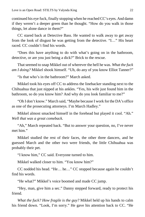continued his eye fuck, finally stopping when he reached CC's eyes. And damn if they weren't a deeper green than he thought. "How do you walk in those things, let alone dance in them?"

CC stared back at Detective Bass. He wanted to walk away to get away from the look of disgust he was getting from the detective. "I…" His heart raced. CC couldn't find his words.

"Does this have anything to do with what's going on in the bathroom, detective, or are you just being a dick?" Brick to the rescue.

That seemed to snap Mikkel out of wherever the hell he was. *What the fuck am I doing?* Mikkel shook himself. "Uh, do any of you know Elliot Tanner?"

"Is that who's in the bathroom?" March asked.

Mikkel took his eyes off CC to address the linebacker standing next to the Chihuahua that just nipped at his ankles. "Yes, his wife just found him in the bathroom, so do you know him? And why do you look familiar to me?"

"Oh I don't know." March said, "Maybe because I work for the DA's office as one of the prosecuting attorneys. I'm March Hadley."

Mikkel almost smacked himself in the forehead but played it cool. "Ah*.*" *Well that was a great comeback.*

"Ah," March repeated back. "But to answer your question, no, I've never met him"

Mikkel studied the rest of their faces, the other three dancers, and he guessed March and the other two were friends, the little Chihuahua was probably their pet.

"I know him," CC said. Everyone turned to him.

Mikkel walked closer to him. "You know him?"

CC nodded his head. "He… he…" CC stopped because again he couldn't find his words.

"He what?" Mikkel's voice boomed and made CC jump.

"Hey, man, give him a sec." Danny stepped forward, ready to protect his friend.

*What the fuck? How fragile is the guy?* Mikkel held up his hands to calm his friend down. "Look, I'm sorry." He gave his attention back to CC. "He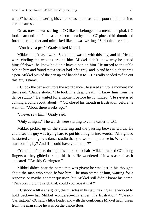what?" he asked, lowering his voice so as not to scare the poor timid man into cardiac arrest.

Great, now he was staring at CC like he belonged in a mental hospital. CC looked around and found a napkin on a nearby table. CC pinched his thumb and forefinger together and mimicked like he was writing. "Scribble," he said.

"You have a pen?" Grady asked Mikkel.

Mikkel didn't say a word. Something was up with this guy, and his friends were circling the wagons around him. Mikkel didn't know why he patted himself down; he knew he didn't have a pen on him. He turned to the table behind him and found that a server had left a tray, and lo and behold, there was a pen. Mikkel picked the pen up and handed it to… He really needed to find out this guy's name.

CC took the pen and wrote the word dance. He stared at it for a moment and then said, "Dance studio." He took in a deep breath. "I know him from the dance studio." He waited for a moment before he continued. "He s-s-started coming around about, about—" CC closed his mouth in frustration before he went on. "About three weeks ago."

"I never saw him," Grady said.

"Only at night." The words were starting to come easier to CC.

Mikkel picked up on the stuttering and the pausing between words. He could see the guy was trying hard to put his thoughts into words. "All right so he started coming by a dance studio that you work in, practice in. Why did he start coming by? And if I could have your name?"

CC ran his fingers through his short black hair. Mikkel tracked CC's long fingers as they glided through his hair. He wondered if it was as soft as it appeared. "Cassidy Carrington."

Mikkel didn't hear the name that was given; he was lost in his thoughts about the man who stood before him. The man stared at him, waiting for a response or maybe another question, but Mikkel still didn't know his name. "I'm sorry I didn't catch that, could you repeat that?"

CC stood a little straighter, the muscles in his jaw flexing as he worked to hold back—what Mikkel wondered—his anger, his frustration? "Cassidy Carrington," CC said a little louder and with the confidence Mikkel hadn't seen from the man since he was on the dance floor.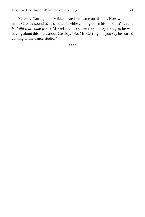"Cassidy Carrington." Mikkel tested the name on his lips. How would the name Cassidy sound as he shouted it while coming down his throat. *Where the hell did that come from?* Mikkel tried to shake these crazy thoughts he was having about this man, about Cassidy. "So, Mr. Carrington, you say he started coming to the dance studio."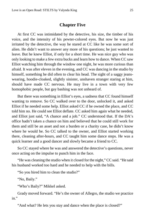#### **Chapter Five**

<span id="page-24-0"></span>At first CC was intimidated by the detective, his size, the timber of his voice, and the intensity of his pewter-colored eyes. But now he was just irritated by the detective, the way he stared at CC like he was some sort of alien. He didn't want to answer any more of his questions; he just wanted to leave. But he knew Elliot, if only for a short time. He was nice guy who was only looking to make a few extra bucks and learn how to dance. When CC saw Elliot watching him through the window one night, he was more curious than afraid. It was after eleven in the evening, and CC was dancing in the studio by himself, something he did often to clear his head. The sight of a saggy jeanswearing, hoodie-cloaked, slightly sinister, unshaven stranger staring at him, should have made CC nervous. He may live in a town with very few homophobic people, but gay bashing was not unheard of.

But there was something in Elliot's eyes, a sadness that CC found himself wanting to remove. So CC walked over to the door, unlocked it, and asked Elliot if he needed some help. Elliot asked CC if he owned the place, and CC told him no. He could see Elliot deflate. CC asked him again what he needed, and Elliot just said, "A chance and a job." CC understood that. If the DA's office hadn't taken a chance on him and believed that he could still work for them and still be an asset and not a burden or a charity case, he didn't know where he would be. So CC talked to the owner, and Elliot started working there, cleaning after-hours, and CC taught him some dance steps. He was a quick learner and a good dancer and slowly became a friend to CC.

So CC stayed where he was and answered the detective's questions, never once acting on the impulse to punch him in the face.

"He was cleaning the studio when it closed for the night," CC said. "He said his husband worked too hard and he needed to help with the bills.

"So you hired him to clean the studio?"

"No, Baily."

"Who's Baily?" Mikkel asked.

Grady moved forward. "He's the owner of Allegro, the studio we practice in."

"And what? He lets you stay and dance when the place is closed?"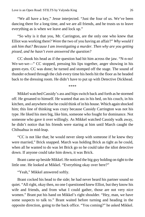"We all have a key," Jesse interjected. "Just the four of us. We've been dancing there for a long time, and we are all friends, and he trusts us to leave everything as is when we leave and lock up."

"So why is it that you, Mr. Carrington, are the only one who knew that Elliot was working there? Were the two of you having an affair?" *Why would I ask him that? Because I am investigating a murder. Then why are you getting pissed, and he hasn't even answered the question?*

CC shook his head as if the question had hit him across the jaw. "N-n-no! We-we-we—" CC stopped, pressing his lips together, anger showing in his green eyes. CC was done; he turned and stomped off the stage. The sound of thunder echoed through the club every time his heels hit the floor as he headed back to the dressing room. He didn't have to put up with Detective Dickhead.

\*\*\*\*

Mikkel watched Cassidy's ass and hips switch back and forth as he stormed off. He groaned to himself. He wanted that ass in his bed, on his couch, in his kitchen, and anywhere else he could think of in his house. Which again shocked him; this line of thinking was crazy because Cassidy Carrington was not his type. He liked his men big, like him, someone who fought for dominance. Not someone who gave it over willingly. As Mikkel watched Cassidy walk away, he didn't notice that his friends were staring at him until March caught the Chihuahua in mid-leap.

"CC is not like that; he would never sleep with someone if he knew they were married," Brick snapped. March was holding Brick as tight as he could, when all he wanted to do was let Brick go so he could take the idiot detective down. If anyone could take him down, it was Brick.

Brant came up beside Mikkel. He noticed the big guy holding on tight to the little one. He looked at Mikkel. "Everything okay over here?"

"Yeah," Mikkel answered softly.

Brant cocked his head to the side; he had never heard his partner sound so quiet. "All right, okay then, no one I questioned knew Elliot, but they know his wife and friends, and from what I could gather, those are not very nice women." Brant put his hand on Mikkel's right shoulder. "Hey, man, we have some suspects to talk to." Brant waited before turning and heading in the opposite direction, going to the back office. "You coming?" he asked Mikkel.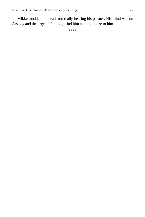Mikkel nodded his head, not really hearing his partner. His mind was on Cassidy and the urge he felt to go find him and apologize to him.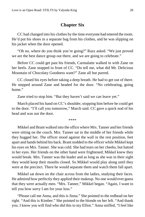### **Chapter Six**

<span id="page-27-0"></span>CC had changed into his clothes by the time everyone had entered the room. He'd put his shoes in a separate bag from his clothes, and he was slipping on his jacket when the door opened.

"Oh no, where do you think you're going?" Razz asked. "We just proved we are the best dance group out there, and we are going to celebrate."

Before CC could get past his friends, Carmalatte walked in with Zane on her heels. Zane stopped in front of CC. "Do tell me, what did Mr. Delicious Mountain of Chocolaty Goodness want?" Zane all but purred.

CC closed his eyes before taking a deep breath. He had to get out of there. He stepped around Zane and headed for the door. "No celebrating, going home."

Zane tried to stop him. "But they haven't said we can leave yet."

March placed his hand on CC's shoulder, stopping him before he could get to the door. "I'll call you tomorrow," March said. CC gave a quick nod of his head and was out the door.

\*\*\*\*

Mikkel and Brant walked into the office where Mrs. Tanner and her friends were sitting on the couch. Mrs. Tanner sat in the middle of her friends while they hugged her. The officer stood against the wall in the rest position, feet apart and hands behind his back. Brant nodded to the officer while Mikkel kept his eyes on Mrs. Tanner. She was cold. She had tears on her cheeks, but hatred in her eyes. Her friends on the other hand were frightened; Mikkel knew they would break. Mrs. Tanner was the leader and as long as she was in their sight they would keep their mouths closed. So Mikkel would play along until they were at the precinct. There he would separate them and watch them fall apart.

Mikkel sat down on the chair across from the ladies, studying their faces. He admired how perfectly they applied their makeup. No one would ever guess that they were actually men. "Mrs. Tanner," Mikkel began. "Again, I want to tell you how sorry I am for your loss."

"Please call me Anna, and this is Jinna." She pointed to the redhead on her right. "And this is Kimber." She pointed to the blonde on her left. "And thank you. I know you will find who did this to my Elliot." Anna sniffed, "I feel like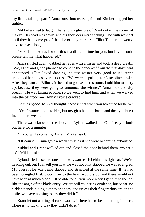my life is falling apart." Anna burst into tears again and Kimber hugged her tighter.

Mikkel wanted to laugh. He caught a glimpse of Brant out of the corner of his eye. His head was down, and his shoulders were shaking. The truth was that until they had some proof that she or they murdered Elliot Tanner, he would have to play along.

"Mrs. Tan—Anna, I know this is a difficult time for you, but if you could please tell me what happened."

Anna sniffed again, dabbed her eyes with a tissue and took a deep breath. "We, Elliot and I, had planned to come to the dance-off from the first day it was announced. Elliot loved dancing; he just wasn't very good at it." Anna smoothed her hands over her dress. "We were all pulling for Discipline to win. After they danced, Elliot said he had to go use the restroom. I told him to hurry up, because they were going to announce the winner." Anna took a shaky breath. "He was taking so long, so we went to find him, and when we walked into the bathroom—" Anna's voice cracked.

*Oh she is good*, Mikkel thought. "And is that when you screamed for help?"

"Yes. I wanted to go to him, but my girls held me back, and then you burst in, and here we are."

There was a knock on the door, and Ryland walked in. "Can I see you both out here for a minute?"

"If you will excuse us, Anna," Mikkel said.

"Of course." Anna gave a weak smile as if she were becoming exhausted.

Mikkel and Brant walked out and closed the door behind them. "What's up?" Mikkel asked.

Ryland tried to secure one of his wayward curls behind his right ear. "We're heading out, but I can tell you now, he was not only stabbed, he was strangled. My guess is he was being stabbed and strangled at the same time. If he had been strangled first, blood flow to the heart would stop, and there would not have been as much blood. I'll be able to tell you more when I get him to the lab, like the angle of the blade entry. We are still collecting evidence, but so far, no hidden panels hiding clothes or shoes, and unless their fingerprints are on the knife, we have nothing to say they did it."

Brant let out a string of curse words. "There has to be something in there. There is no fucking way they didn't do it."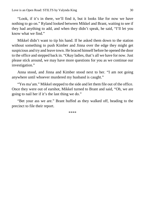"Look, if it's in there, we'll find it, but it looks like for now we have nothing to go on." Ryland looked between Mikkel and Brant, waiting to see if they had anything to add, and when they didn't speak, he said, "I'll let you know what we find."

Mikkel didn't want to tip his hand. If he asked them down to the station without something to push Kimber and Jinna over the edge they might get suspicious and try and leave town. He braced himself before he opened the door to the office and stepped back in. "Okay ladies, that's all we have for now. Just please stick around, we may have more questions for you as we continue our investigation."

Anna stood, and Jinna and Kimber stood next to her. "I am not going anywhere until whoever murdered my husband is caught."

"Yes ma'am." Mikkel stepped to the side and let them file out of the office. Once they were out of earshot, Mikkel turned to Brant and said, "Oh, we are going to nail her if it's the last thing we do."

"Bet your ass we are." Brant huffed as they walked off, heading to the precinct to file their report.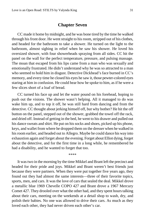#### **Chapter Seven**

<span id="page-30-0"></span>CC made it home by midnight, and he was bone tired by the time he walked through his front door. He went straight to his room, stripped out of his clothes, and headed for the bathroom to take a shower. He turned on the light to the bathroom, almost sighing in relief when he saw his shower. He loved his oversized shower, with four showerheads spraying from all sides. CC hit the panel on the wall for the perfect temperature, pressure, and pulsing massage. The moan that escaped from his lips came from a man who was sexually and emotionally frustrated. He didn't understand why he was so attracted to a man who seemed to hold him in disgust. Detective Dickhead's face burned in CC's memory, and every time he closed his eyes he saw it, those pewter-colored eyes staring at him in confusion. He could hear how he spoke to him, as if he were a few slices short of a loaf of bread.

CC turned his face up and let the water pound on his forehead, hoping to push out the visions. The shower wasn't helping. All it managed to do was wake him up, and to top it off, he was still hard from dancing and from the detective. CC thought about jerking himself off, but why bother? He hit the off button on the panel, stepped out of the shower, grabbed the towel off the rack, and dried off. Instead of getting in the bed, he went to his drawer and pulled out his dance sweats and shirt. He put on his socks and shoes, picked up his phone, keys, and wallet from where he dropped them on the dresser when he walked in his room earlier, and headed out to Allegro. Maybe he could dance his way into exhaustion again and forget about the evening. Forget about Elliot dying, forget about the detective, and for the first time in a long while, he remembered he had a disability, and he wanted to forget that too.

\*\*\*\*

It was two in the morning by the time Mikkel and Brant left the precinct and headed for their pride and joys. Mikkel and Brant weren't best friends just because they were partners. When they were put together five years ago, they found out they had almost the same interests—three of their favorite topics, sports, men, and cars. It was the love of cars that sealed the deal. Mikkel drove a metallic blue 1969 Chevelle COPO 427 and Brant drove a 1967 Mercury Comet 427. They drooled over what the other had, and they spent hours talking about their cars, meeting on the weekends at a detail shop to wash, dry, and polish their babies. No one was allowed to drive their cars. As much as they loved each other, they had never driven each other's car.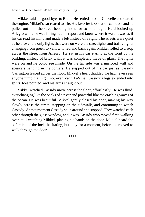Mikkel said his good-byes to Brant. He settled into his Chevelle and started the engine. Mikkel's car roared to life. His favorite jazz station came on, and he pulled out onto the street heading home, or so he thought. He'd looked up Allegro while he was filling out his report and knew where it was. It was as if his car read his mind and made a left instead of a right. The streets were quiet as he drove; the only lights that were on were the streetlights and traffic lights changing from green to yellow to red and back again. Mikkel rolled to a stop across the street from Allegro. He sat in his car staring at the front of the building. Instead of brick walls it was completely made of glass. The lights were on and he could see inside. On the far side was a mirrored wall and speakers hanging in the corners. He stepped out of his car just as Cassidy Carrington leaped across the floor. Mikkel's heart thudded, he had never seen anyone jump that high, not even Zach LaVine. Cassidy's legs extended into splits, toes pointed, and his arms straight out.

Mikkel watched Cassidy move across the floor, effortlessly. He was fluid, ever changing like the banks of a river and powerful like the crashing waves of the ocean. He was beautiful. Mikkel gently closed his door, making his way slowly across the street, stepping on the sidewalk, and continuing to watch Cassidy. At that moment Cassidy spun around and stopped. They watched each other through the glass window, and it was Cassidy who moved first, walking over, still watching Mikkel, placing his hands on the door. Mikkel heard the soft click of the lock, hesitating, but only for a moment, before he moved to walk through the door.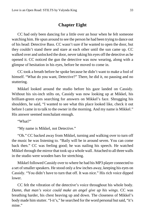### **Chapter Eight**

<span id="page-32-0"></span>CC had only been dancing for a little over an hour when he felt someone watching him. He spun around to see the person he had been trying to dance out of his head: Detective Bass. CC wasn't sure if he wanted to open the door, but they couldn't stand there and stare at each other until the sun came up. CC walked over and unlocked the door, never taking his eyes off the detective as he opened it. CC noticed the gun the detective was now wearing, along with a glimpse of hesitation in his eyes, before he moved to come in.

CC took a breath before he spoke because he didn't want to make a fool of himself. "What do you want, Detective?" There, he did it, no pausing and no stuttering.

Mikkel looked around the studio before his gaze landed on Cassidy. Without his six-inch stilts on, Cassidy was now looking up at Mikkel, his brilliant-green eyes searching for answers on Mikkel's face. Shrugging his shoulders, he said, "I wanted to see what this place looked like, check it out before I came in to talk to the owner in the morning. And my name is Mikkel." His answer seemed nonchalant enough.

"What?"

"My name is Mikkel, not Detective."

"Oh." CC backed away from Mikkel, turning and walking over to turn off the music he was listening to. "Baily will be in around seven. You can come back then." CC was feeling good; he was nailing his speech. He watched Mikkel through the mirror that took up a whole wall. Attached to all three walls in the studio were wooden bars for stretching.

Mikkel followed Cassidy over to where he had his MP3 player connected to a set of smaller speakers. He stood only a few inches away, keeping his eyes on Cassidy. "You didn't have to turn that off. It was nice." His rich voice dipped lower.

CC felt the vibration of the detective's voice throughout his whole body. *Damn, that man's voice could make an angel give up his wings*. CC was breathing harder, his chest heaving up and down. The closeness of Mikkel's body made him stutter. "I-it's," he searched for the word personal but said, "it's mine."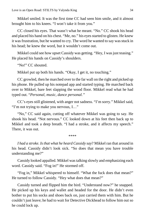Mikkel smiled. It was the first time CC had seen him smile, and it almost brought him to his knees. "I won't take it from you."

CC closed his eyes. That wasn't what he meant. "No." CC shook his head and placed his hand on his chest. "Me, no." his eyes started to glisten. He knew it was frustration, but he wanted to cry. The word he wanted to say was stuck in his head; he knew the word, but it wouldn't come out.

Mikkel could see how upset Cassidy was getting. "Hey, I was just teasing." He placed his hands on Cassidy's shoulders.

"No!" CC shouted.

Mikkel put up both his hands. "Okay, I get it, no touching."

CC growled, then he marched over to the far wall on the right and picked up his phone. He pulled up his notepad app and started typing. He marched back over to Mikkel, bare feet slapping the wood floor. Mikkel read what he had typed out. "*Personal, music, dance personal."*

CC's eyes still glistened, with anger not sadness. "I'm sorry." Mikkel said, "I'm not trying to make you nervous, I…"

"No," CC said again, cutting off whatever Mikkel was going to say. He shook his head. "Not nervous." CC looked down at his feet then back up to Mikkel and took a deep breath. "I had a stroke, and it affects my speech." There, it was out.

\*\*\*\*

*I had a stroke. Is that what he heard Cassidy say*? Mikkel ran that around in his head. Cassidy didn't look sick. "So does that mean you have trouble understanding me?"

Cassidy looked appalled. Mikkel was talking slowly and emphasizing each word. Cassidy said. "Fog in!" He stormed off.

"Fog in," Mikkel whispered to himself. "What the fuck does that mean?" He turned to follow Cassidy. "Hey what does that mean?"

Cassidy turned and flipped him the bird. "Understand now?" he snapped. He picked up his keys and wallet and headed for the door. He didn't even bother to put his socks and shoes back on, just carried them with him. But he couldn't just leave; he had to wait for Detective Dickhead to follow him out so he could lock up.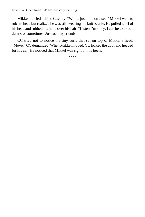Mikkel hurried behind Cassidy. "Whoa, just hold on a sec." Mikkel went to rub his head but realized he was still wearing his knit beanie. He pulled it off of his head and rubbed his hand over his hair. "Listen I'm sorry, I can be a serious dumbass sometimes. Just ask my friends."

CC tried not to notice the tiny curls that sat on top of Mikkel's head. "Move," CC demanded. When Mikkel moved, CC locked the door and headed for his car. He noticed that Mikkel was right on his heels.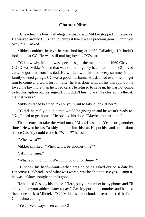### **Chapter Nine**

<span id="page-35-0"></span>CC reached his Ford Talladega Fastback, and Mikkel stopped in his tracks. He walked around CC's car, touching it like it was a precious gem. "Umm you okay?" CC asked.

Mikkel couldn't believe he was looking at a '69 Talladega. He hadn't looked up at CC. He was still making love to CC's car.

CC knew why Mikkel was speechless; if the metallic blue 1969 Chevelle COPO was Mikkel's then that was something they had in common. CC loved cars; he got that from his dad. He worked with his dad every summer in the family-owned garage. CC was a good mechanic. His dad had even tried to get him to come and work for him after he was done with all his therapy, but he loved the law more than he loved cars. He refused to cave in; he was not going to let this siphon out his anger. But it didn't hurt to ask. He cleared his throat. "Is that yours?"

Mikkel's faced beamed. "Yep, you want to take a look at her?"

CC did, he really did, but that would be giving in and he wasn't ready to. "No, I need to get home." He opened his door. "Maybe another time."

That seemed to take the wind out of Mikkel's sails. "Yeah sure, another time." He watched as Cassidy climbed into his car. He put his hand on the door before Cassidy could close it. "When?" he asked.

"When what?"

Mikkel smirked. "When will it be another time?"

"I-I'm not sure."

"What about tonight? We could go out for dinner?"

CC shook his head—wait—what, was he being asked out on a date by Detective Dickhead? And what was worse, was he about to say yes? Damn it, he was. "Okay, tonight sounds good."

He handed Cassidy his phone. "Here, put your number in my phone, and I'll call you for your address later today." Cassidy put in his number and handed the phone back to Mikkel. "CC," Mikkel said out loud, he remembered the little Chihuahua calling him that.

"Yes. I've always been called CC."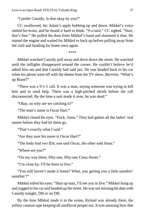"I prefer Cassidy. Is that okay by you?"

CC swallowed, his Adam's apple bobbing up and down. Mikkel's voice rattled his brain, and he found it hard to think. "S-s-sure." CC sighed. "Sure, that's fine." He pulled the door from Mikkel's hand and slammed it shut. He started the engine and waited for Mikkel to back up before pulling away from the curb and heading for home once again.

\*\*\*\*

Mikkel watched Cassidy pull away and drive down the street. He watched until the taillights disappeared around the corner. He couldn't believe he'd asked him out and that Cassidy had said yes. He was headed back to his car when his phone went off with the theme from the TV show, *Barretta*. "What's up Brant?"

"There was a 9-1-1 call. It was a man, saying someone was trying to kill him and to send help. There was a high-pitched shriek before the call disconnected. By the time a unit made it over, he was dead."

"Okay, so why are we catching it?"

"The man's name is Oscar Hart."

Mikkel closed his eyes. "Fuck, Jinna." They had gotten all the ladies' real names before they had let them go.

"That's exactly what I said."

"Are they sure his name is Oscar Hart?"

"The body had two IDs; one said Oscar, the other said Jinna."

"Where are you?"

"On my way there; fifty-one, fifty-one Cress Street."

"I'm close by. I'll be there in five."

"You still haven't made it home? What, you getting you a little sumthin' sumthin'?"

Mikkel rolled his eyes. "Shut up man, I'll see you in five." Mikkel hung up and jogged to his car and headed up the street. He was not missing his date with Cassidy tonight, DB or no DB.

By the time Mikkel made it to the scene, Ryland was already there, the yellow caution tape keeping all unofficial people out. It was amazing how that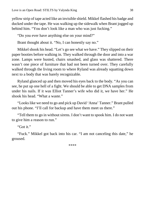yellow strip of tape acted like an invisible shield. Mikkel flashed his badge and ducked under the tape. He was walking up the sidewalk when Brant jogged up behind him. "You don't look like a man who was just fucking."

"Do you ever have anything else on your mind?"

Brant thought about it. "No, I can honestly say no."

Mikkel shook his head. "Let's go see what we have." They slipped on their paper booties before walking in. They walked through the door and into a war zone. Lamps were busted, chairs smashed, and glass was shattered. There wasn't one piece of furniture that had not been turned over. They carefully walked through the living room to where Ryland was already squatting down next to a body that was barely recognizable.

Ryland glanced up and then moved his eyes back to the body. "As you can see, he put up one hell of a fight. We should be able to get DNA samples from under his nails. If it was Elliot Tanner's wife who did it, we have her." He shook his head. "What a waste."

"Looks like we need to go and pick up David 'Anna' Tanner." Brant pulled out his phone. "I'll call for backup and have them meet us there."

"Tell them to go in without sirens. I don't want to spook him. I do not want to give him a reason to run."

"Got it."

"Fuck." Mikkel got back into his car. "I am not canceling this date," he groused.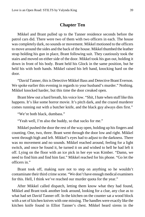#### **Chapter Ten**

<span id="page-38-0"></span>Mikkel and Brant pulled up to the Tanner residence seconds before the patrol cars did. There were two of them with two officers in each. The house was completely dark, no sounds or movement. Mikkel motioned to the officers to move around the sides and the back of the house. Mikkel thumbed the leather strap holding his gun in place, Brant following suit. They cautiously took the stairs and moved on either side of the door. Mikkel took his gun out, holding it down in front of his body. Brant held his Glock in the same position, but he held his with both hands. Mikkel raised his left hand, knocking hard on the door.

"David Tanner, this is Detective Mikkel Bass and Detective Brant Everson. We spoke earlier this evening in regards to your husband's murder." Nothing. Mikkel knocked harder, but this time the door creaked open.

Brant blew out a hard breath, his voice low. "Shit, I hate when stuff like this happens. It's like some horror movie. It's pitch dark, and the crazed murderer comes running out with a butcher knife, and the black guy always dies first."

"We're both black, dumbass."

"Yeah well, I'm also the buddy, so that sucks for me."

Mikkel pushed the door the rest of the way open, holding up his fingers and counting. One, two, three. Brant went through the door low and right. Mikkel went through high and left. Mikkel's eyes had to adjust to the darkness. There was no movement and no sounds. Mikkel reached around, feeling for a light switch, and once he found it, he turned it on and wished to hell he had left it off. Lying on the floor with an ice pick in her eye was Kimber. "Damn, we need to find him and find him fast." Mikkel reached for his phone. "Go let the officers in."

Brant took off, making sure not to step on anything so he wouldn't contaminate their third crime scene. "We don't have enough medical examiners for this. Hell, I think we've reached our murder quota for the year."

After Mikkel called dispatch, letting them know what they had found, Mikkel and Brant took another look around, looking for a clue, any clue as to what had set David Tanner off. In the kitchen on the counter sat a wood block with a set of kitchen knives with one missing. The handles were exactly like the kitchen knife found in Elliot Tanner's chest. Mikkel heard sirens in the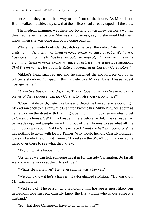distance, and they made their way to the front of the house. As Mikkel and Brant walked outside, they saw that the officers had already taped off the area.

The medical examiner was there, not Ryland. It was a new person, a woman they had never met before. She was all business, saying she would let them know when she was done and could come back in.

While they waited outside, dispatch came over the radio, *"All available units within the vicinity of twenty-two-zero-one Wilshire Street… We have a hostage situation. SWAT has been dispatched. Repeat, all available units in the vicinity of twenty-two-zero-one Wilshire Street, we have a hostage situation. SWAT is en route. Hostage is tentatively identified as Cassidy Carrington."*

Mikkel's head snapped up, and he snatched the mouthpiece off of an officer's shoulder. "Dispatch, this is Detective Mikkel Bass. Please repeat hostage name."

*"Detective Bass, this is dispatch. The hostage name is believed to be the owner of the residence, Cassidy Carrington. Are you responding?"*

"Copy that dispatch, Detective Bass and Detective Everson are responding." Mikkel ran back to his car while Brant ran back to his. Mikkel's wheels spun as he flew down the street with Brant right behind him. It took ten minutes to get to Cassidy's house. SWAT had made it there before he did. They already had barricades up, and people were filing out of their homes to see what all the commotion was about. Mikkel's heart raced. *What the hell was going on?* He had nothing to go on with David Tanner. Why would he hold Cassidy hostage? Cassidy barely knew Elliot Tanner. Mikkel saw the SWAT commander, so he raced over there to see what they knew.

"Taylor, what's happening?"

"As far as we can tell, someone has it in for Cassidy Carrington. So far all we know is he works at the DA's office."

"What? He's a lawyer? He never said he was a lawyer."

"We don't know if he's a lawyer." Taylor glanced at Mikkel. "Do you know Mr. Carrington?"

"Well sort of. The person who is holding him hostage is most likely our triple-homicide suspect. Cassidy knew the first victim who is our suspect's husband."

"So what does Carrington have to do with all this?"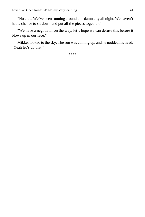"No clue. We've been running around this damn city all night. We haven't had a chance to sit down and put all the pieces together."

"We have a negotiator on the way, let's hope we can defuse this before it blows up in our face."

Mikkel looked to the sky. The sun was coming up, and he nodded his head. "Yeah let's do that."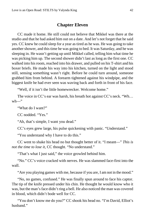#### **Chapter Eleven**

<span id="page-41-0"></span>CC made it home. He still could not believe that Mikkel was there at the studio and that he had asked him out on a date. And let's not forget that he said yes. CC knew he could sleep for a year as tired as he was. He was going to take another shower, and this time he was going to bed. It was Saturday, and he was sleeping in. He wasn't getting up until Mikkel called, telling him what time he was picking him up. The second shower didn't last as long as the first one. CC walked into his room, reached into his drawer, and pulled on his T-shirt and his boxer briefs. He made his way into his kitchen, turned on the light and stood still, sensing something wasn't right. Before he could turn around, someone grabbed him from behind. A forearm tightened against his windpipe, and the biggest knife he had ever seen was waving back and forth in front of his face.

"Well, if it isn't the little homewrecker. Welcome home."

The voice in CC's ear was harsh, his breath hot against CC's neck. "Wh…  $wh$ —"

"What do I want?"

CC nodded. "Yes."

"Ah, that's simple, I want you dead."

CC's eyes grew large, his pulse quickening with panic. "Understand."

"You understand why I have to do this."

CC went to shake his head no but thought better of it. "I meant—" *This is not the time to lose it,* CC thought. "No understand."

"That's what I just said," the voice growled behind him.

"No." CC's voice cracked with nerves. He was slammed face-first into the wall.

"Are you playing games with me, because if you are, I am not in the mood."

"No, no games, confused." He was finally spun around to face his captor. The tip of the knife pressed under his chin. He thought he would know who it was, but the man's face didn't ring a bell. He also noticed the man was covered in blood, which didn't bode well for CC.

"You don't know me do you?" CC shook his head no. "I'm David, Elliot's husband."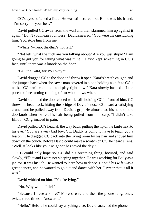CC's eyes softened a little. He was still scared, but Elliot was his friend. "I'm sorry for your loss."

David pulled CC away from the wall and then slammed him up against it again. "Don't you mean your loss?" David sneered. "You were the one fucking him. You stole him from me."

"What? N-n-no, tha-that's not left."

"Not left, what the fuck are you talking about? Are you just stupid? I am going to gut you for taking what was mine!" David kept screaming in CC's face, until there was a knock on the door.

"CC, it's Kara, are you okay?"

David dragged CC to the door and threw it open. Kara's breath caught, and she jumped back when she saw a man covered in blood holding a knife to CC's neck. "CC can't come out and play right now." Kara slowly backed off the porch before turning running off to who knows where.

David slammed the door closed while still holding CC in front of him. CC threw his head back, hitting the bridge of David's nose. CC heard a satisfying crunch and he pulled away from David's grip. He almost had his hand on the doorknob when he felt his hair being pulled from his scalp. "I didn't take Elliot." CC grimaced in pain.

David pulled CC's head all the way back, putting the tip of the knife next to his eye. "You are a very bad boy, CC. Daddy is going to have to teach you a lesson." He dragged CC back into the living room by his hair and shoved him down on the couch. Before David could make a scratch on CC, he heard sirens. "Well, it looks like your neighbor has saved the day."

CC could only hope so. CC did his breathing thing, focused, and said slowly, "Elliot and I were not sleeping together. He was working for Baily as a janitor. It was his job. He wanted to learn how to dance. He said his wife was a great dancer, and he wanted to go out and dance with her. I swear that is all it was."

David whirled on him. "You're lying."

"No. Why would I lie?"

"Because I have a knife!" More sirens, and then the phone rang, once, twice, three times. "Answer it."

"Hello." Before he could say anything else, David snatched the phone.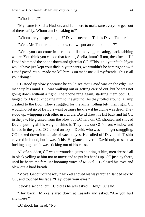"Who is this?"

"My name is Sheila Hudson, and I am here to make sure everyone gets out of there safely. Whom am I speaking to?"

"Whom are you speaking to?" David sneered. "This is David Tanner."

"Well, Mr. Tanner, tell me, how can we put an end to all this?"

"Well, you can come in here and kill this lying, cheating, backstabbing whore. You think you can do that for me, Sheila, hmm? If not, then fuck off!" David slammed the phone down and glared at CC. "This is all your fault. If you would have just kept your dick in your pants, we wouldn't be here right now." David paced. "You made me kill him. You made me kill my friends. This is all your doing."

CC stood up slowly because he could see that David was on the edge. He made up his mind. CC was walking out or getting carried out, but he was not going down without a fight. The phone rang again, startling them both. CC lunged for David, knocking him to the ground. As they rolled around, a lamp crashed to the floor. They struggled for the knife, rolling left, then right. CC would not let go of David's wrist because he knew if he did he was dead. They stood up, whipping each other in a circle. David drew his fist back and hit CC in the jaw. He grunted from the blow but CC held on. CC shouted and shoved David, putting all his weight behind it. They flew out CC's front window and landed in the grass. CC landed on top of David, who was no longer struggling. CC looked down into a pair of vacant eyes. He rolled off David, his T-shirt covered in blood, but it wasn't his. He glanced over to David only to see that fucking huge knife was sticking out of his chest.

All of a sudden, CC was surrounded, guns pointing at him, men dressed all in black yelling at him not to move and to put his hands up. CC just lay there, until he heard the familiar booming voice of Mikkel. CC closed his eyes and blew out a hard breath.

"Move. Get out of the way." Mikkel shoved his way through, landed next to CC, and touched his face. "Hey, open your eyes."

It took a second, but CC did as he was asked. "Hey," CC said.

"Hey back." Mikkel stared down at Cassidy and asked, "Are you hurt anywhere?"

CC shook his head. "No."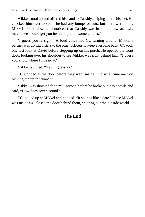Mikkel stood up and offered his hand to Cassidy, helping him to his feet. He checked him over to see if he had any bumps or cuts, but there were none. Mikkel looked down and noticed that Cassidy was in his underwear. "Uh, maybe we should get you inside to put on some clothes."

"I guess you're right." A loud voice had CC turning around. Mikkel's partner was giving orders to the other officers to keep everyone back. CC took one last look at David before stepping up on his porch. He opened the front door, looking over his shoulder to see Mikkel was right behind him. "I guess you know where I live now."

Mikkel laughed. "Yep, I guess so."

CC stopped at the door before they went inside. "So what time are you picking me up for dinner?"

Mikkel was shocked for a millisecond before he broke out into a smile and said, "How does seven sound?"

CC looked up at Mikkel and nodded. "It sounds like a date." Once Mikkel was inside CC closed the door behind them, shutting out the outside world.

### **The End**